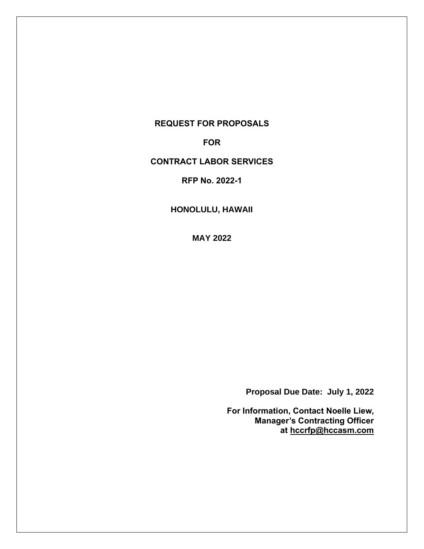# **REQUEST FOR PROPOSALS**

**FOR**

# **CONTRACT LABOR SERVICES**

**RFP No. 2022-1**

**HONOLULU, HAWAII**

**MAY 2022**

**Proposal Due Date: July 1, 2022**

**For Information, Contact Noelle Liew, Manager's Contracting Officer at [hccrfp@hccasm.com](mailto:hccrfp@hccasm.com)**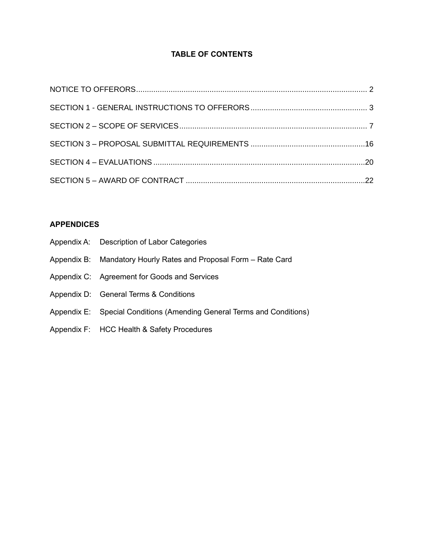# **TABLE OF CONTENTS**

# **APPENDICES**

| Appendix A: Description of Labor Categories                            |
|------------------------------------------------------------------------|
| Appendix B: Mandatory Hourly Rates and Proposal Form – Rate Card       |
| Appendix C: Agreement for Goods and Services                           |
| Appendix D: General Terms & Conditions                                 |
| Appendix E: Special Conditions (Amending General Terms and Conditions) |
| Appendix F: HCC Health & Safety Procedures                             |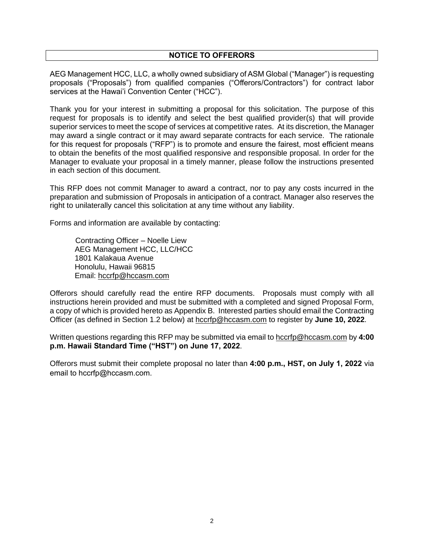# **NOTICE TO OFFERORS**

<span id="page-2-0"></span>AEG Management HCC, LLC, a wholly owned subsidiary of ASM Global ("Manager") is requesting proposals ("Proposals") from qualified companies ("Offerors/Contractors") for contract labor services at the Hawai'i Convention Center ("HCC").

Thank you for your interest in submitting a proposal for this solicitation. The purpose of this request for proposals is to identify and select the best qualified provider(s) that will provide superior services to meet the scope of services at competitive rates. At its discretion, the Manager may award a single contract or it may award separate contracts for each service. The rationale for this request for proposals ("RFP") is to promote and ensure the fairest, most efficient means to obtain the benefits of the most qualified responsive and responsible proposal. In order for the Manager to evaluate your proposal in a timely manner, please follow the instructions presented in each section of this document.

This RFP does not commit Manager to award a contract, nor to pay any costs incurred in the preparation and submission of Proposals in anticipation of a contract. Manager also reserves the right to unilaterally cancel this solicitation at any time without any liability.

Forms and information are available by contacting:

 Contracting Officer – Noelle Liew AEG Management HCC, LLC/HCC 1801 Kalakaua Avenue Honolulu, Hawaii 96815 Email: [hccrfp@hccasm.com](mailto:hccrfp@hccasm.com)

Offerors should carefully read the entire RFP documents. Proposals must comply with all instructions herein provided and must be submitted with a completed and signed Proposal Form, a copy of which is provided hereto as Appendix B. Interested parties should email the Contracting Officer (as defined in Section 1.2 below) at [hccrfp@hccasm.com](mailto:hccrfp@hccasm.com) to register by **June 10, 2022**.

Written questions regarding this RFP may be submitted via email to [hccrfp@hccasm.com](mailto:hccrfp@hccasm.com) by **4:00 p.m. Hawaii Standard Time ("HST") on June 17, 2022**.

Offerors must submit their complete proposal no later than **4:00 p.m., HST, on July 1, 2022** via email to hccrfp@hccasm.com.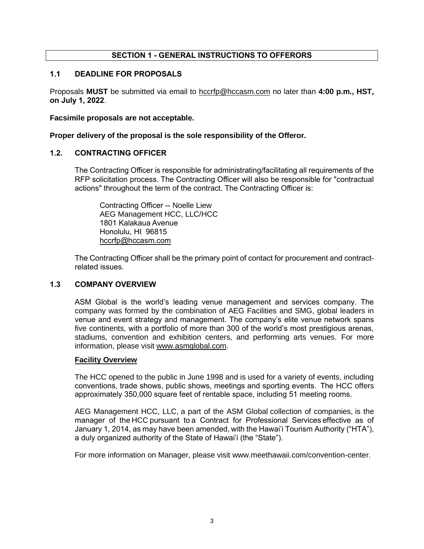# **SECTION 1 - GENERAL INSTRUCTIONS TO OFFERORS**

# <span id="page-3-0"></span>**1.1 DEADLINE FOR PROPOSALS**

Proposals **MUST** be submitted via email to [hccrfp@hccasm.com](mailto:hccrfp@hccasm.com) no later than **4:00 p.m., HST, on July 1, 2022**.

**Facsimile proposals are not acceptable.**

**Proper delivery of the proposal is the sole responsibility of the Offeror.**

# **1.2. CONTRACTING OFFICER**

The Contracting Officer is responsible for administrating/facilitating all requirements of the RFP solicitation process. The Contracting Officer will also be responsible for "contractual actions" throughout the term of the contract. The Contracting Officer is:

Contracting Officer -- Noelle Liew AEG Management HCC, LLC/HCC 1801 Kalakaua Avenue Honolulu, HI 96815 [hccrfp@hccasm.com](mailto:hccrfp@hccasm.com)

The Contracting Officer shall be the primary point of contact for procurement and contractrelated issues.

# **1.3 COMPANY OVERVIEW**

ASM Global is the world's leading venue management and services company. The company was formed by the combination of AEG Facilities and SMG, global leaders in venue and event strategy and management. The company's elite venue network spans five continents, with a portfolio of more than 300 of the world's most prestigious arenas, stadiums, convention and exhibition centers, and performing arts venues. For more information, please visit [www.asmglobal.com.](http://www.asmglobal.com/)

#### **Facility Overview**

The HCC opened to the public in June 1998 and is used for a variety of events, including conventions, trade shows, public shows, meetings and sporting events.  The HCC offers approximately 350,000 square feet of rentable space, including 51 meeting rooms.  

AEG Management HCC, LLC, a part of the ASM Global collection of companies, is the manager of the HCC pursuant to a Contract for Professional Services effective as of January 1, 2014, as may have been amended, with the Hawai'i Tourism Authority ("HTA"), a duly organized authority of the State of Hawai'i (the "State").

For more information on Manager, please visit www.meethawaii.com/convention-center.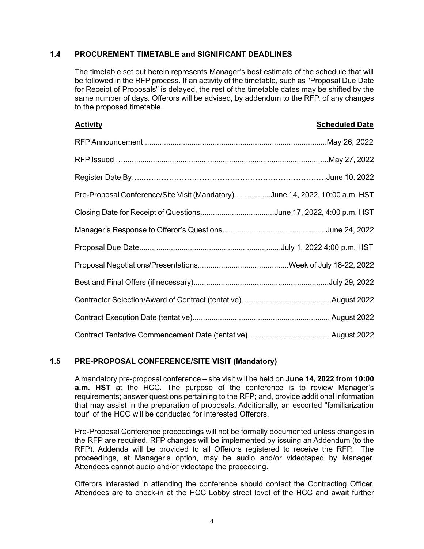# **1.4 PROCUREMENT TIMETABLE and SIGNIFICANT DEADLINES**

The timetable set out herein represents Manager's best estimate of the schedule that will be followed in the RFP process. If an activity of the timetable, such as "Proposal Due Date for Receipt of Proposals" is delayed, the rest of the timetable dates may be shifted by the same number of days. Offerors will be advised, by addendum to the RFP, of any changes to the proposed timetable.

| <b>Activity</b>                                                             | <b>Scheduled Date</b> |
|-----------------------------------------------------------------------------|-----------------------|
|                                                                             |                       |
| RFP Issued …………………………………………………………………………………May 27, 2022                      |                       |
|                                                                             |                       |
| Pre-Proposal Conference/Site Visit (Mandatory)June 14, 2022, 10:00 a.m. HST |                       |
| Closing Date for Receipt of QuestionsJune 17, 2022, 4:00 p.m. HST           |                       |
|                                                                             |                       |
|                                                                             |                       |
|                                                                             |                       |
|                                                                             |                       |
|                                                                             |                       |
|                                                                             |                       |
|                                                                             |                       |

# **1.5 PRE-PROPOSAL CONFERENCE/SITE VISIT (Mandatory)**

A mandatory pre-proposal conference – site visit will be held on **June 14, 2022 from 10:00 a.m. HST** at the HCC. The purpose of the conference is to review Manager's requirements; answer questions pertaining to the RFP; and, provide additional information that may assist in the preparation of proposals. Additionally, an escorted "familiarization tour" of the HCC will be conducted for interested Offerors.

Pre-Proposal Conference proceedings will not be formally documented unless changes in the RFP are required. RFP changes will be implemented by issuing an Addendum (to the RFP). Addenda will be provided to all Offerors registered to receive the RFP. The proceedings, at Manager's option, may be audio and/or videotaped by Manager. Attendees cannot audio and/or videotape the proceeding.

Offerors interested in attending the conference should contact the Contracting Officer. Attendees are to check-in at the HCC Lobby street level of the HCC and await further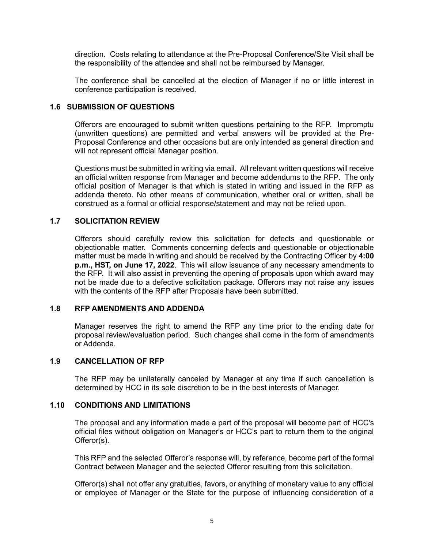direction. Costs relating to attendance at the Pre-Proposal Conference/Site Visit shall be the responsibility of the attendee and shall not be reimbursed by Manager.

The conference shall be cancelled at the election of Manager if no or little interest in conference participation is received.

# **1.6 SUBMISSION OF QUESTIONS**

Offerors are encouraged to submit written questions pertaining to the RFP. Impromptu (unwritten questions) are permitted and verbal answers will be provided at the Pre-Proposal Conference and other occasions but are only intended as general direction and will not represent official Manager position.

Questions must be submitted in writing via email. All relevant written questions will receive an official written response from Manager and become addendums to the RFP. The only official position of Manager is that which is stated in writing and issued in the RFP as addenda thereto. No other means of communication, whether oral or written, shall be construed as a formal or official response/statement and may not be relied upon.

#### **1.7 SOLICITATION REVIEW**

Offerors should carefully review this solicitation for defects and questionable or objectionable matter. Comments concerning defects and questionable or objectionable matter must be made in writing and should be received by the Contracting Officer by **4:00 p.m., HST, on June 17, 2022**. This will allow issuance of any necessary amendments to the RFP. It will also assist in preventing the opening of proposals upon which award may not be made due to a defective solicitation package. Offerors may not raise any issues with the contents of the RFP after Proposals have been submitted.

#### **1.8 RFP AMENDMENTS AND ADDENDA**

Manager reserves the right to amend the RFP any time prior to the ending date for proposal review/evaluation period. Such changes shall come in the form of amendments or Addenda.

#### **1.9 CANCELLATION OF RFP**

The RFP may be unilaterally canceled by Manager at any time if such cancellation is determined by HCC in its sole discretion to be in the best interests of Manager.

# **1.10 CONDITIONS AND LIMITATIONS**

The proposal and any information made a part of the proposal will become part of HCC's official files without obligation on Manager's or HCC's part to return them to the original Offeror(s).

This RFP and the selected Offeror's response will, by reference, become part of the formal Contract between Manager and the selected Offeror resulting from this solicitation.

Offeror(s) shall not offer any gratuities, favors, or anything of monetary value to any official or employee of Manager or the State for the purpose of influencing consideration of a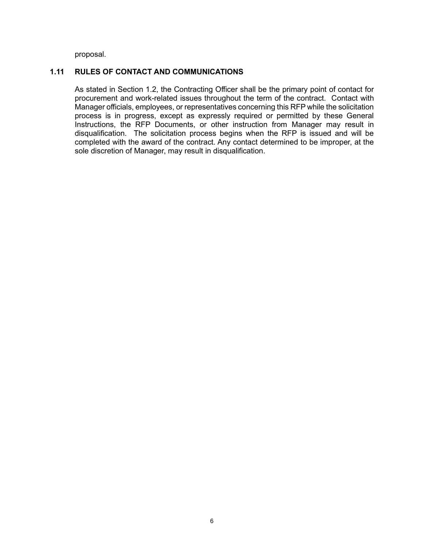proposal.

# **1.11 RULES OF CONTACT AND COMMUNICATIONS**

As stated in Section 1.2, the Contracting Officer shall be the primary point of contact for procurement and work-related issues throughout the term of the contract. Contact with Manager officials, employees, or representatives concerning this RFP while the solicitation process is in progress, except as expressly required or permitted by these General Instructions, the RFP Documents, or other instruction from Manager may result in disqualification. The solicitation process begins when the RFP is issued and will be completed with the award of the contract. Any contact determined to be improper, at the sole discretion of Manager, may result in disqualification.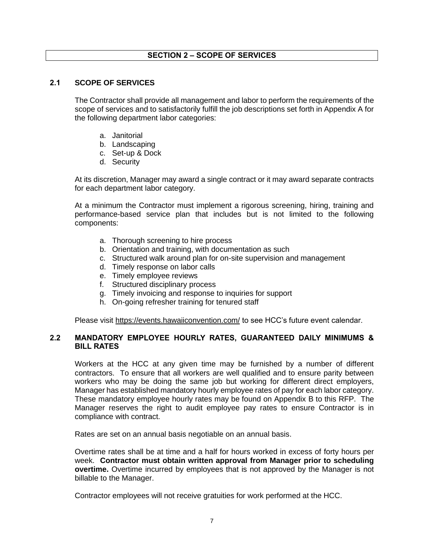# **SECTION 2 – SCOPE OF SERVICES**

# <span id="page-7-0"></span>**2.1 SCOPE OF SERVICES**

The Contractor shall provide all management and labor to perform the requirements of the scope of services and to satisfactorily fulfill the job descriptions set forth in Appendix A for the following department labor categories:

- a. Janitorial
- b. Landscaping
- c. Set-up & Dock
- d. Security

At its discretion, Manager may award a single contract or it may award separate contracts for each department labor category.

At a minimum the Contractor must implement a rigorous screening, hiring, training and performance-based service plan that includes but is not limited to the following components:

- a. Thorough screening to hire process
- b. Orientation and training, with documentation as such
- c. Structured walk around plan for on-site supervision and management
- d. Timely response on labor calls
- e. Timely employee reviews
- f. Structured disciplinary process
- g. Timely invoicing and response to inquiries for support
- h. On-going refresher training for tenured staff

Please visit<https://events.hawaiiconvention.com/> to see HCC's future event calendar.

# **2.2 MANDATORY EMPLOYEE HOURLY RATES, GUARANTEED DAILY MINIMUMS & BILL RATES**

Workers at the HCC at any given time may be furnished by a number of different contractors. To ensure that all workers are well qualified and to ensure parity between workers who may be doing the same job but working for different direct employers, Manager has established mandatory hourly employee rates of pay for each labor category. These mandatory employee hourly rates may be found on Appendix B to this RFP. The Manager reserves the right to audit employee pay rates to ensure Contractor is in compliance with contract.

Rates are set on an annual basis negotiable on an annual basis.

Overtime rates shall be at time and a half for hours worked in excess of forty hours per week. **Contractor must obtain written approval from Manager prior to scheduling overtime.** Overtime incurred by employees that is not approved by the Manager is not billable to the Manager.

Contractor employees will not receive gratuities for work performed at the HCC.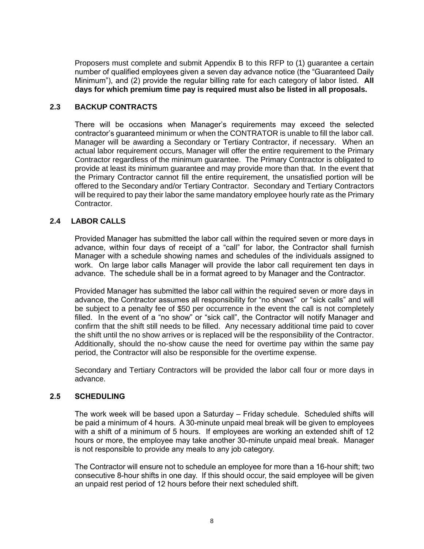Proposers must complete and submit Appendix B to this RFP to (1) guarantee a certain number of qualified employees given a seven day advance notice (the "Guaranteed Daily Minimum"), and (2) provide the regular billing rate for each category of labor listed. **All days for which premium time pay is required must also be listed in all proposals.**

# **2.3 BACKUP CONTRACTS**

There will be occasions when Manager's requirements may exceed the selected contractor's guaranteed minimum or when the CONTRATOR is unable to fill the labor call. Manager will be awarding a Secondary or Tertiary Contractor, if necessary. When an actual labor requirement occurs, Manager will offer the entire requirement to the Primary Contractor regardless of the minimum guarantee. The Primary Contractor is obligated to provide at least its minimum guarantee and may provide more than that. In the event that the Primary Contractor cannot fill the entire requirement, the unsatisfied portion will be offered to the Secondary and/or Tertiary Contractor. Secondary and Tertiary Contractors will be required to pay their labor the same mandatory employee hourly rate as the Primary Contractor.

#### **2.4 LABOR CALLS**

Provided Manager has submitted the labor call within the required seven or more days in advance, within four days of receipt of a "call" for labor, the Contractor shall furnish Manager with a schedule showing names and schedules of the individuals assigned to work. On large labor calls Manager will provide the labor call requirement ten days in advance. The schedule shall be in a format agreed to by Manager and the Contractor.

Provided Manager has submitted the labor call within the required seven or more days in advance, the Contractor assumes all responsibility for "no shows" or "sick calls" and will be subject to a penalty fee of \$50 per occurrence in the event the call is not completely filled. In the event of a "no show" or "sick call", the Contractor will notify Manager and confirm that the shift still needs to be filled. Any necessary additional time paid to cover the shift until the no show arrives or is replaced will be the responsibility of the Contractor. Additionally, should the no-show cause the need for overtime pay within the same pay period, the Contractor will also be responsible for the overtime expense.

Secondary and Tertiary Contractors will be provided the labor call four or more days in advance.

#### **2.5 SCHEDULING**

The work week will be based upon a Saturday – Friday schedule. Scheduled shifts will be paid a minimum of 4 hours. A 30-minute unpaid meal break will be given to employees with a shift of a minimum of 5 hours. If employees are working an extended shift of 12 hours or more, the employee may take another 30-minute unpaid meal break. Manager is not responsible to provide any meals to any job category.

The Contractor will ensure not to schedule an employee for more than a 16-hour shift; two consecutive 8-hour shifts in one day. If this should occur, the said employee will be given an unpaid rest period of 12 hours before their next scheduled shift.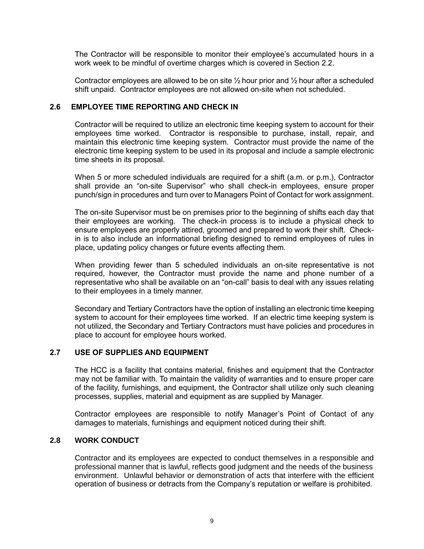The Contractor will be responsible to monitor their employee's accumulated hours in a work week to be mindful of overtime charges which is covered in Section 2.2.

Contractor employees are allowed to be on site  $\frac{1}{2}$  hour prior and  $\frac{1}{2}$  hour after a scheduled shift unpaid. Contractor employees are not allowed on-site when not scheduled.

# **2.6 EMPLOYEE TIME REPORTING AND CHECK IN**

Contractor will be required to utilize an electronic time keeping system to account for their employees time worked. Contractor is responsible to purchase, install, repair, and maintain this electronic time keeping system. Contractor must provide the name of the electronic time keeping system to be used in its proposal and include a sample electronic time sheets in its proposal.

When 5 or more scheduled individuals are required for a shift (a.m. or p.m.), Contractor shall provide an "on-site Supervisor" who shall check-in employees, ensure proper punch/sign in procedures and turn over to Managers Point of Contact for work assignment.

The on-site Supervisor must be on premises prior to the beginning of shifts each day that their employees are working. The check-in process is to include a physical check to ensure employees are properly attired, groomed and prepared to work their shift. Checkin is to also include an informational briefing designed to remind employees of rules in place, updating policy changes or future events affecting them.

When providing fewer than 5 scheduled individuals an on-site representative is not required, however, the Contractor must provide the name and phone number of a representative who shall be available on an "on-call" basis to deal with any issues relating to their employees in a timely manner.

Secondary and Tertiary Contractors have the option of installing an electronic time keeping system to account for their employees time worked. If an electric time keeping system is not utilized, the Secondary and Tertiary Contractors must have policies and procedures in place to account for employee hours worked.

# **2.7 USE OF SUPPLIES AND EQUIPMENT**

The HCC is a facility that contains material, finishes and equipment that the Contractor may not be familiar with. To maintain the validity of warranties and to ensure proper care of the facility, furnishings, and equipment, the Contractor shall utilize only such cleaning processes, supplies, material and equipment as are supplied by Manager.

Contractor employees are responsible to notify Manager's Point of Contact of any damages to materials, furnishings and equipment noticed during their shift.

# **2.8 WORK CONDUCT**

Contractor and its employees are expected to conduct themselves in a responsible and professional manner that is lawful, reflects good judgment and the needs of the business environment. Unlawful behavior or demonstration of acts that interfere with the efficient operation of business or detracts from the Company's reputation or welfare is prohibited.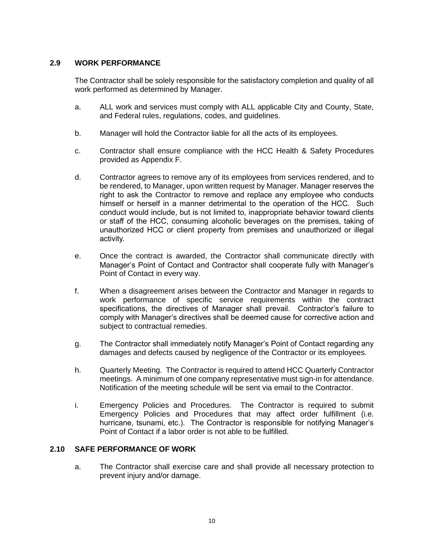# **2.9 WORK PERFORMANCE**

The Contractor shall be solely responsible for the satisfactory completion and quality of all work performed as determined by Manager.

- a. ALL work and services must comply with ALL applicable City and County, State, and Federal rules, regulations, codes, and guidelines.
- b. Manager will hold the Contractor liable for all the acts of its employees.
- c. Contractor shall ensure compliance with the HCC Health & Safety Procedures provided as Appendix F.
- d. Contractor agrees to remove any of its employees from services rendered, and to be rendered, to Manager, upon written request by Manager. Manager reserves the right to ask the Contractor to remove and replace any employee who conducts himself or herself in a manner detrimental to the operation of the HCC. Such conduct would include, but is not limited to, inappropriate behavior toward clients or staff of the HCC, consuming alcoholic beverages on the premises, taking of unauthorized HCC or client property from premises and unauthorized or illegal activity.
- e. Once the contract is awarded, the Contractor shall communicate directly with Manager's Point of Contact and Contractor shall cooperate fully with Manager's Point of Contact in every way.
- f. When a disagreement arises between the Contractor and Manager in regards to work performance of specific service requirements within the contract specifications, the directives of Manager shall prevail. Contractor's failure to comply with Manager's directives shall be deemed cause for corrective action and subject to contractual remedies.
- g. The Contractor shall immediately notify Manager's Point of Contact regarding any damages and defects caused by negligence of the Contractor or its employees.
- h. Quarterly Meeting. The Contractor is required to attend HCC Quarterly Contractor meetings. A minimum of one company representative must sign-in for attendance. Notification of the meeting schedule will be sent via email to the Contractor.
- i. Emergency Policies and Procedures. The Contractor is required to submit Emergency Policies and Procedures that may affect order fulfillment (i.e. hurricane, tsunami, etc.). The Contractor is responsible for notifying Manager's Point of Contact if a labor order is not able to be fulfilled.

# **2.10 SAFE PERFORMANCE OF WORK**

a. The Contractor shall exercise care and shall provide all necessary protection to prevent injury and/or damage.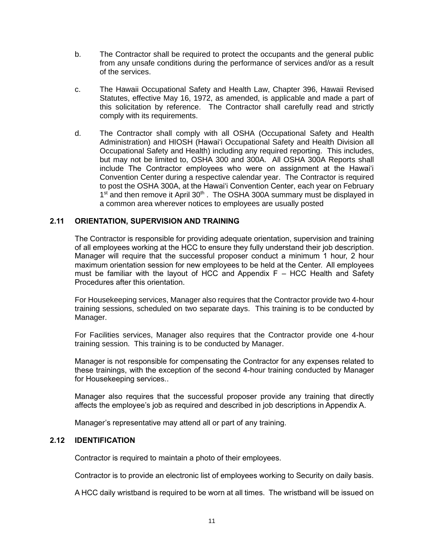- b. The Contractor shall be required to protect the occupants and the general public from any unsafe conditions during the performance of services and/or as a result of the services.
- c. The Hawaii Occupational Safety and Health Law, Chapter 396, Hawaii Revised Statutes, effective May 16, 1972, as amended, is applicable and made a part of this solicitation by reference. The Contractor shall carefully read and strictly comply with its requirements.
- d. The Contractor shall comply with all OSHA (Occupational Safety and Health Administration) and HIOSH (Hawai'i Occupational Safety and Health Division all Occupational Safety and Health) including any required reporting. This includes, but may not be limited to, OSHA 300 and 300A. All OSHA 300A Reports shall include The Contractor employees who were on assignment at the Hawai'i Convention Center during a respective calendar year. The Contractor is required to post the OSHA 300A, at the Hawai'i Convention Center, each year on February 1<sup>st</sup> and then remove it April 30<sup>th</sup>. The OSHA 300A summary must be displayed in a common area wherever notices to employees are usually posted

# **2.11 ORIENTATION, SUPERVISION AND TRAINING**

The Contractor is responsible for providing adequate orientation, supervision and training of all employees working at the HCC to ensure they fully understand their job description. Manager will require that the successful proposer conduct a minimum 1 hour, 2 hour maximum orientation session for new employees to be held at the Center. All employees must be familiar with the layout of HCC and Appendix  $F - HCC$  Health and Safety Procedures after this orientation.

For Housekeeping services, Manager also requires that the Contractor provide two 4-hour training sessions, scheduled on two separate days. This training is to be conducted by Manager.

For Facilities services, Manager also requires that the Contractor provide one 4-hour training session. This training is to be conducted by Manager.

Manager is not responsible for compensating the Contractor for any expenses related to these trainings, with the exception of the second 4-hour training conducted by Manager for Housekeeping services..

Manager also requires that the successful proposer provide any training that directly affects the employee's job as required and described in job descriptions in Appendix A.

Manager's representative may attend all or part of any training.

# **2.12 IDENTIFICATION**

Contractor is required to maintain a photo of their employees.

Contractor is to provide an electronic list of employees working to Security on daily basis.

A HCC daily wristband is required to be worn at all times. The wristband will be issued on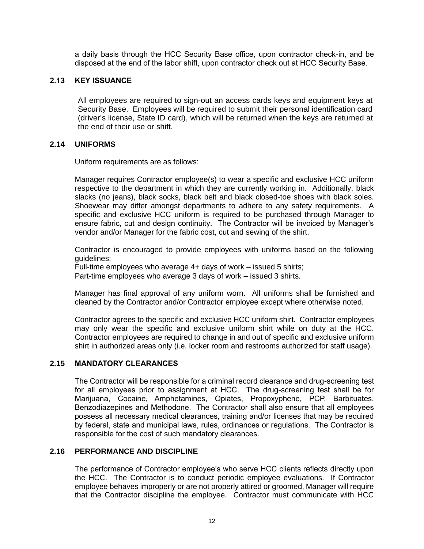a daily basis through the HCC Security Base office, upon contractor check-in, and be disposed at the end of the labor shift, upon contractor check out at HCC Security Base.

# **2.13 KEY ISSUANCE**

All employees are required to sign-out an access cards keys and equipment keys at Security Base. Employees will be required to submit their personal identification card (driver's license, State ID card), which will be returned when the keys are returned at the end of their use or shift.

#### **2.14 UNIFORMS**

Uniform requirements are as follows:

Manager requires Contractor employee(s) to wear a specific and exclusive HCC uniform respective to the department in which they are currently working in. Additionally, black slacks (no jeans), black socks, black belt and black closed-toe shoes with black soles. Shoewear may differ amongst departments to adhere to any safety requirements. A specific and exclusive HCC uniform is required to be purchased through Manager to ensure fabric, cut and design continuity. The Contractor will be invoiced by Manager's vendor and/or Manager for the fabric cost, cut and sewing of the shirt.

Contractor is encouraged to provide employees with uniforms based on the following guidelines:

Full-time employees who average 4+ days of work – issued 5 shirts; Part-time employees who average 3 days of work – issued 3 shirts.

Manager has final approval of any uniform worn. All uniforms shall be furnished and cleaned by the Contractor and/or Contractor employee except where otherwise noted.

Contractor agrees to the specific and exclusive HCC uniform shirt. Contractor employees may only wear the specific and exclusive uniform shirt while on duty at the HCC. Contractor employees are required to change in and out of specific and exclusive uniform shirt in authorized areas only (i.e. locker room and restrooms authorized for staff usage).

# **2.15 MANDATORY CLEARANCES**

The Contractor will be responsible for a criminal record clearance and drug-screening test for all employees prior to assignment at HCC. The drug-screening test shall be for Marijuana, Cocaine, Amphetamines, Opiates, Propoxyphene, PCP, Barbituates, Benzodiazepines and Methodone. The Contractor shall also ensure that all employees possess all necessary medical clearances, training and/or licenses that may be required by federal, state and municipal laws, rules, ordinances or regulations. The Contractor is responsible for the cost of such mandatory clearances.

# **2.16 PERFORMANCE AND DISCIPLINE**

The performance of Contractor employee's who serve HCC clients reflects directly upon the HCC. The Contractor is to conduct periodic employee evaluations. If Contractor employee behaves improperly or are not properly attired or groomed, Manager will require that the Contractor discipline the employee. Contractor must communicate with HCC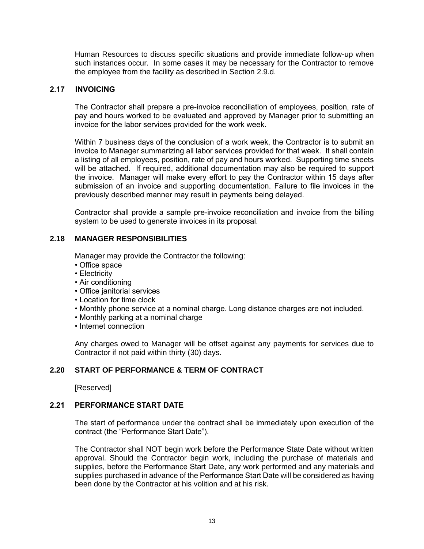Human Resources to discuss specific situations and provide immediate follow-up when such instances occur. In some cases it may be necessary for the Contractor to remove the employee from the facility as described in Section 2.9.d.

# **2.17 INVOICING**

The Contractor shall prepare a pre-invoice reconciliation of employees, position, rate of pay and hours worked to be evaluated and approved by Manager prior to submitting an invoice for the labor services provided for the work week.

Within 7 business days of the conclusion of a work week, the Contractor is to submit an invoice to Manager summarizing all labor services provided for that week. It shall contain a listing of all employees, position, rate of pay and hours worked. Supporting time sheets will be attached. If required, additional documentation may also be required to support the invoice. Manager will make every effort to pay the Contractor within 15 days after submission of an invoice and supporting documentation. Failure to file invoices in the previously described manner may result in payments being delayed.

Contractor shall provide a sample pre-invoice reconciliation and invoice from the billing system to be used to generate invoices in its proposal.

#### **2.18 MANAGER RESPONSIBILITIES**

Manager may provide the Contractor the following:

- Office space
- Electricity
- Air conditioning
- Office janitorial services
- Location for time clock
- Monthly phone service at a nominal charge. Long distance charges are not included.
- Monthly parking at a nominal charge
- Internet connection

Any charges owed to Manager will be offset against any payments for services due to Contractor if not paid within thirty (30) days.

#### **2.20 START OF PERFORMANCE & TERM OF CONTRACT**

[Reserved]

#### **2.21 PERFORMANCE START DATE**

The start of performance under the contract shall be immediately upon execution of the contract (the "Performance Start Date").

The Contractor shall NOT begin work before the Performance State Date without written approval. Should the Contractor begin work, including the purchase of materials and supplies, before the Performance Start Date, any work performed and any materials and supplies purchased in advance of the Performance Start Date will be considered as having been done by the Contractor at his volition and at his risk.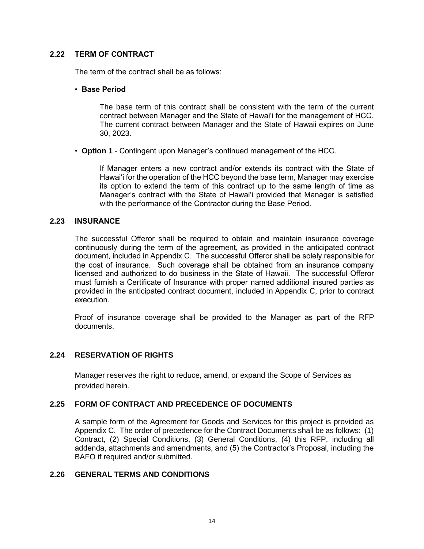# **2.22 TERM OF CONTRACT**

The term of the contract shall be as follows:

#### • **Base Period**

The base term of this contract shall be consistent with the term of the current contract between Manager and the State of Hawai'i for the management of HCC. The current contract between Manager and the State of Hawaii expires on June 30, 2023.

• **Option 1** - Contingent upon Manager's continued management of the HCC.

If Manager enters a new contract and/or extends its contract with the State of Hawai'i for the operation of the HCC beyond the base term, Manager may exercise its option to extend the term of this contract up to the same length of time as Manager's contract with the State of Hawai'i provided that Manager is satisfied with the performance of the Contractor during the Base Period.

#### **2.23 INSURANCE**

The successful Offeror shall be required to obtain and maintain insurance coverage continuously during the term of the agreement, as provided in the anticipated contract document, included in Appendix C. The successful Offeror shall be solely responsible for the cost of insurance. Such coverage shall be obtained from an insurance company licensed and authorized to do business in the State of Hawaii. The successful Offeror must furnish a Certificate of Insurance with proper named additional insured parties as provided in the anticipated contract document, included in Appendix C, prior to contract execution.

Proof of insurance coverage shall be provided to the Manager as part of the RFP documents.

# **2.24 RESERVATION OF RIGHTS**

Manager reserves the right to reduce, amend, or expand the Scope of Services as provided herein.

# **2.25 FORM OF CONTRACT AND PRECEDENCE OF DOCUMENTS**

A sample form of the Agreement for Goods and Services for this project is provided as Appendix C. The order of precedence for the Contract Documents shall be as follows: (1) Contract, (2) Special Conditions, (3) General Conditions, (4) this RFP, including all addenda, attachments and amendments, and (5) the Contractor's Proposal, including the BAFO if required and/or submitted.

# **2.26 GENERAL TERMS AND CONDITIONS**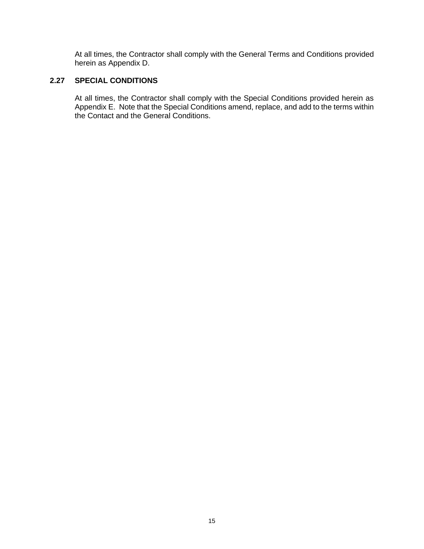At all times, the Contractor shall comply with the General Terms and Conditions provided herein as Appendix D.

# **2.27 SPECIAL CONDITIONS**

At all times, the Contractor shall comply with the Special Conditions provided herein as Appendix E. Note that the Special Conditions amend, replace, and add to the terms within the Contact and the General Conditions.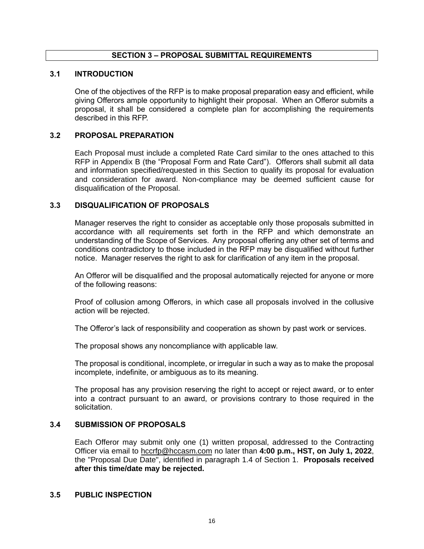# **SECTION 3 – PROPOSAL SUBMITTAL REQUIREMENTS**

#### <span id="page-16-0"></span>**3.1 INTRODUCTION**

One of the objectives of the RFP is to make proposal preparation easy and efficient, while giving Offerors ample opportunity to highlight their proposal. When an Offeror submits a proposal, it shall be considered a complete plan for accomplishing the requirements described in this RFP.

#### **3.2 PROPOSAL PREPARATION**

Each Proposal must include a completed Rate Card similar to the ones attached to this RFP in Appendix B (the "Proposal Form and Rate Card"). Offerors shall submit all data and information specified/requested in this Section to qualify its proposal for evaluation and consideration for award. Non-compliance may be deemed sufficient cause for disqualification of the Proposal.

#### **3.3 DISQUALIFICATION OF PROPOSALS**

Manager reserves the right to consider as acceptable only those proposals submitted in accordance with all requirements set forth in the RFP and which demonstrate an understanding of the Scope of Services. Any proposal offering any other set of terms and conditions contradictory to those included in the RFP may be disqualified without further notice. Manager reserves the right to ask for clarification of any item in the proposal.

An Offeror will be disqualified and the proposal automatically rejected for anyone or more of the following reasons:

Proof of collusion among Offerors, in which case all proposals involved in the collusive action will be rejected.

The Offeror's lack of responsibility and cooperation as shown by past work or services.

The proposal shows any noncompliance with applicable law.

The proposal is conditional, incomplete, or irregular in such a way as to make the proposal incomplete, indefinite, or ambiguous as to its meaning.

The proposal has any provision reserving the right to accept or reject award, or to enter into a contract pursuant to an award, or provisions contrary to those required in the solicitation.

#### **3.4 SUBMISSION OF PROPOSALS**

Each Offeror may submit only one (1) written proposal, addressed to the Contracting Officer via email to [hccrfp@hccasm.com](mailto:hccrfp@hccasm.com) no later than **4:00 p.m., HST, on July 1, 2022**, the "Proposal Due Date", identified in paragraph 1.4 of Section 1. **Proposals received after this time/date may be rejected.**

#### **3.5 PUBLIC INSPECTION**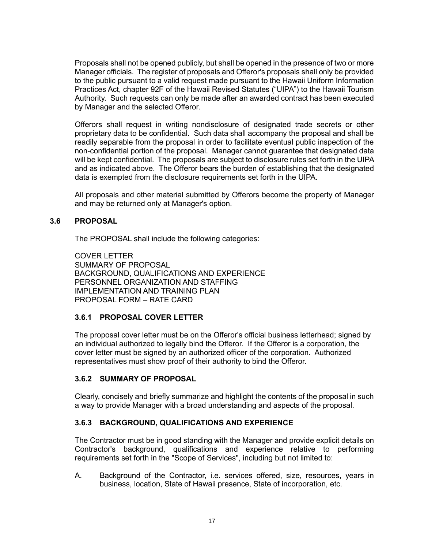Proposals shall not be opened publicly, but shall be opened in the presence of two or more Manager officials. The register of proposals and Offeror's proposals shall only be provided to the public pursuant to a valid request made pursuant to the Hawaii Uniform Information Practices Act, chapter 92F of the Hawaii Revised Statutes ("UIPA") to the Hawaii Tourism Authority. Such requests can only be made after an awarded contract has been executed by Manager and the selected Offeror.

Offerors shall request in writing nondisclosure of designated trade secrets or other proprietary data to be confidential. Such data shall accompany the proposal and shall be readily separable from the proposal in order to facilitate eventual public inspection of the non-confidential portion of the proposal. Manager cannot guarantee that designated data will be kept confidential. The proposals are subject to disclosure rules set forth in the UIPA and as indicated above. The Offeror bears the burden of establishing that the designated data is exempted from the disclosure requirements set forth in the UIPA.

All proposals and other material submitted by Offerors become the property of Manager and may be returned only at Manager's option.

# **3.6 PROPOSAL**

The PROPOSAL shall include the following categories:

COVER LETTER SUMMARY OF PROPOSAL BACKGROUND, QUALIFICATIONS AND EXPERIENCE PERSONNEL ORGANIZATION AND STAFFING IMPLEMENTATION AND TRAINING PLAN PROPOSAL FORM – RATE CARD

# **3.6.1 PROPOSAL COVER LETTER**

The proposal cover letter must be on the Offeror's official business letterhead; signed by an individual authorized to legally bind the Offeror. If the Offeror is a corporation, the cover letter must be signed by an authorized officer of the corporation. Authorized representatives must show proof of their authority to bind the Offeror.

# **3.6.2 SUMMARY OF PROPOSAL**

Clearly, concisely and briefly summarize and highlight the contents of the proposal in such a way to provide Manager with a broad understanding and aspects of the proposal.

# **3.6.3 BACKGROUND, QUALIFICATIONS AND EXPERIENCE**

The Contractor must be in good standing with the Manager and provide explicit details on Contractor's background, qualifications and experience relative to performing requirements set forth in the "Scope of Services", including but not limited to:

A. Background of the Contractor, i.e. services offered, size, resources, years in business, location, State of Hawaii presence, State of incorporation, etc.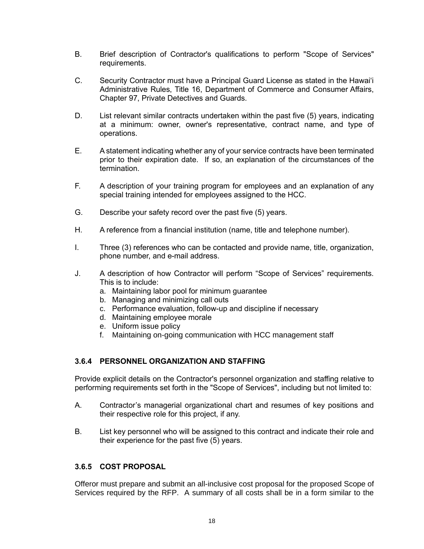- B. Brief description of Contractor's qualifications to perform "Scope of Services" requirements.
- C. Security Contractor must have a Principal Guard License as stated in the Hawai'i Administrative Rules, Title 16, Department of Commerce and Consumer Affairs, Chapter 97, Private Detectives and Guards.
- D. List relevant similar contracts undertaken within the past five (5) years, indicating at a minimum: owner, owner's representative, contract name, and type of operations.
- E. A statement indicating whether any of your service contracts have been terminated prior to their expiration date. If so, an explanation of the circumstances of the termination.
- F. A description of your training program for employees and an explanation of any special training intended for employees assigned to the HCC.
- G. Describe your safety record over the past five (5) years.
- H. A reference from a financial institution (name, title and telephone number).
- I. Three (3) references who can be contacted and provide name, title, organization, phone number, and e-mail address.
- J. A description of how Contractor will perform "Scope of Services" requirements. This is to include:
	- a. Maintaining labor pool for minimum guarantee
	- b. Managing and minimizing call outs
	- c. Performance evaluation, follow-up and discipline if necessary
	- d. Maintaining employee morale
	- e. Uniform issue policy
	- f. Maintaining on-going communication with HCC management staff

# **3.6.4 PERSONNEL ORGANIZATION AND STAFFING**

Provide explicit details on the Contractor's personnel organization and staffing relative to performing requirements set forth in the "Scope of Services", including but not limited to:

- A. Contractor's managerial organizational chart and resumes of key positions and their respective role for this project, if any.
- B. List key personnel who will be assigned to this contract and indicate their role and their experience for the past five (5) years.

# **3.6.5 COST PROPOSAL**

Offeror must prepare and submit an all-inclusive cost proposal for the proposed Scope of Services required by the RFP. A summary of all costs shall be in a form similar to the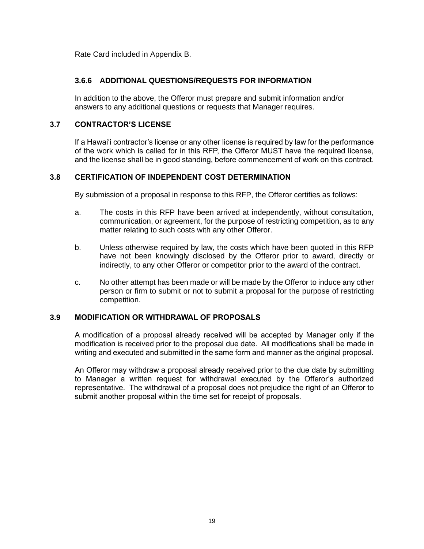Rate Card included in Appendix B.

# **3.6.6 ADDITIONAL QUESTIONS/REQUESTS FOR INFORMATION**

In addition to the above, the Offeror must prepare and submit information and/or answers to any additional questions or requests that Manager requires.

# **3.7 CONTRACTOR'S LICENSE**

If a Hawai'i contractor's license or any other license is required by law for the performance of the work which is called for in this RFP, the Offeror MUST have the required license, and the license shall be in good standing, before commencement of work on this contract.

# **3.8 CERTIFICATION OF INDEPENDENT COST DETERMINATION**

By submission of a proposal in response to this RFP, the Offeror certifies as follows:

- a. The costs in this RFP have been arrived at independently, without consultation, communication, or agreement, for the purpose of restricting competition, as to any matter relating to such costs with any other Offeror.
- b. Unless otherwise required by law, the costs which have been quoted in this RFP have not been knowingly disclosed by the Offeror prior to award, directly or indirectly, to any other Offeror or competitor prior to the award of the contract.
- c. No other attempt has been made or will be made by the Offeror to induce any other person or firm to submit or not to submit a proposal for the purpose of restricting competition.

# **3.9 MODIFICATION OR WITHDRAWAL OF PROPOSALS**

A modification of a proposal already received will be accepted by Manager only if the modification is received prior to the proposal due date. All modifications shall be made in writing and executed and submitted in the same form and manner as the original proposal.

An Offeror may withdraw a proposal already received prior to the due date by submitting to Manager a written request for withdrawal executed by the Offeror's authorized representative. The withdrawal of a proposal does not prejudice the right of an Offeror to submit another proposal within the time set for receipt of proposals.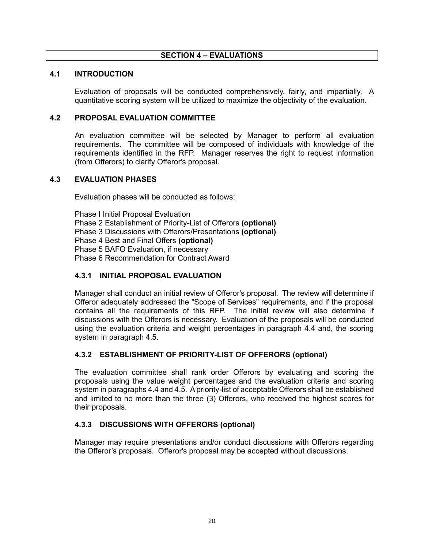# **SECTION 4 – EVALUATIONS**

#### <span id="page-20-0"></span>**4.1 INTRODUCTION**

Evaluation of proposals will be conducted comprehensively, fairly, and impartially. A quantitative scoring system will be utilized to maximize the objectivity of the evaluation.

#### **4.2 PROPOSAL EVALUATION COMMITTEE**

An evaluation committee will be selected by Manager to perform all evaluation requirements. The committee will be composed of individuals with knowledge of the requirements identified in the RFP. Manager reserves the right to request information (from Offerors) to clarify Offeror's proposal.

#### **4.3 EVALUATION PHASES**

Evaluation phases will be conducted as follows:

Phase I Initial Proposal Evaluation Phase 2 Establishment of Priority-List of Offerors **(optional)** Phase 3 Discussions with Offerors/Presentations **(optional)** Phase 4 Best and Final Offers **(optional)** Phase 5 BAFO Evaluation, if necessary Phase 6 Recommendation for Contract Award

# **4.3.1 INITIAL PROPOSAL EVALUATION**

Manager shall conduct an initial review of Offeror's proposal. The review will determine if Offeror adequately addressed the "Scope of Services" requirements, and if the proposal contains all the requirements of this RFP. The initial review will also determine if discussions with the Offerors is necessary. Evaluation of the proposals will be conducted using the evaluation criteria and weight percentages in paragraph 4.4 and, the scoring system in paragraph 4.5.

# **4.3.2 ESTABLISHMENT OF PRIORITY-LIST OF OFFERORS (optional)**

The evaluation committee shall rank order Offerors by evaluating and scoring the proposals using the value weight percentages and the evaluation criteria and scoring system in paragraphs 4.4 and 4.5. A priority-list of acceptable Offerors shall be established and limited to no more than the three (3) Offerors, who received the highest scores for their proposals.

# **4.3.3 DISCUSSIONS WITH OFFERORS (optional)**

Manager may require presentations and/or conduct discussions with Offerors regarding the Offeror's proposals. Offeror's proposal may be accepted without discussions.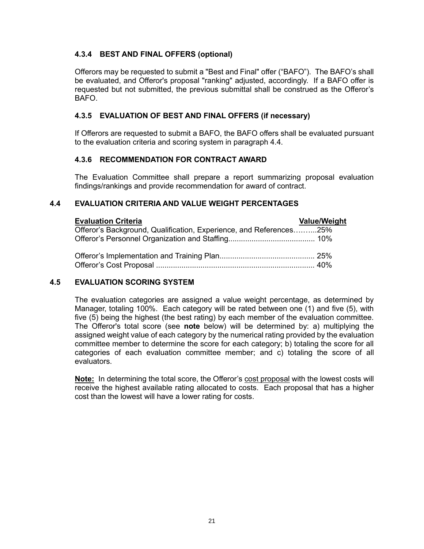# **4.3.4 BEST AND FINAL OFFERS (optional)**

Offerors may be requested to submit a "Best and Final" offer ("BAFO"). The BAFO's shall be evaluated, and Offeror's proposal "ranking" adjusted, accordingly. If a BAFO offer is requested but not submitted, the previous submittal shall be construed as the Offeror's BAFO.

# **4.3.5 EVALUATION OF BEST AND FINAL OFFERS (if necessary)**

If Offerors are requested to submit a BAFO, the BAFO offers shall be evaluated pursuant to the evaluation criteria and scoring system in paragraph 4.4.

# **4.3.6 RECOMMENDATION FOR CONTRACT AWARD**

The Evaluation Committee shall prepare a report summarizing proposal evaluation findings/rankings and provide recommendation for award of contract.

# **4.4 EVALUATION CRITERIA AND VALUE WEIGHT PERCENTAGES**

| <b>Evaluation Criteria</b>                                         | <b>Value/Weight</b> |
|--------------------------------------------------------------------|---------------------|
| Offeror's Background, Qualification, Experience, and References25% |                     |
|                                                                    |                     |
|                                                                    |                     |
|                                                                    |                     |

# **4.5 EVALUATION SCORING SYSTEM**

The evaluation categories are assigned a value weight percentage, as determined by Manager, totaling 100%. Each category will be rated between one (1) and five (5), with five (5) being the highest (the best rating) by each member of the evaluation committee. The Offeror's total score (see **note** below) will be determined by: a) multiplying the assigned weight value of each category by the numerical rating provided by the evaluation committee member to determine the score for each category; b) totaling the score for all categories of each evaluation committee member; and c) totaling the score of all evaluators.

**Note:** In determining the total score, the Offeror's cost proposal with the lowest costs will receive the highest available rating allocated to costs. Each proposal that has a higher cost than the lowest will have a lower rating for costs.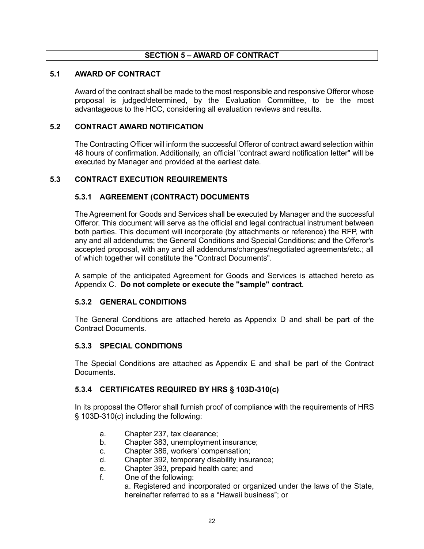# **SECTION 5 – AWARD OF CONTRACT**

#### <span id="page-22-0"></span>**5.1 AWARD OF CONTRACT**

Award of the contract shall be made to the most responsible and responsive Offeror whose proposal is judged/determined, by the Evaluation Committee, to be the most advantageous to the HCC, considering all evaluation reviews and results.

#### **5.2 CONTRACT AWARD NOTIFICATION**

The Contracting Officer will inform the successful Offeror of contract award selection within 48 hours of confirmation. Additionally, an official "contract award notification letter" will be executed by Manager and provided at the earliest date.

#### **5.3 CONTRACT EXECUTION REQUIREMENTS**

# **5.3.1 AGREEMENT (CONTRACT) DOCUMENTS**

The Agreement for Goods and Services shall be executed by Manager and the successful Offeror. This document will serve as the official and legal contractual instrument between both parties. This document will incorporate (by attachments or reference) the RFP, with any and all addendums; the General Conditions and Special Conditions; and the Offeror's accepted proposal, with any and all addendums/changes/negotiated agreements/etc.; all of which together will constitute the "Contract Documents".

A sample of the anticipated Agreement for Goods and Services is attached hereto as Appendix C. **Do not complete or execute the "sample" contract**.

#### **5.3.2 GENERAL CONDITIONS**

The General Conditions are attached hereto as Appendix D and shall be part of the Contract Documents.

#### **5.3.3 SPECIAL CONDITIONS**

The Special Conditions are attached as Appendix E and shall be part of the Contract Documents.

# **5.3.4 CERTIFICATES REQUIRED BY HRS § 103D-310(c)**

In its proposal the Offeror shall furnish proof of compliance with the requirements of HRS § 103D-310(c) including the following:

- a. Chapter 237, tax clearance;
- b. Chapter 383, unemployment insurance;
- c. Chapter 386, workers' compensation;
- d. Chapter 392, temporary disability insurance;
- e. Chapter 393, prepaid health care; and
- f. One of the following:

a. Registered and incorporated or organized under the laws of the State, hereinafter referred to as a "Hawaii business"; or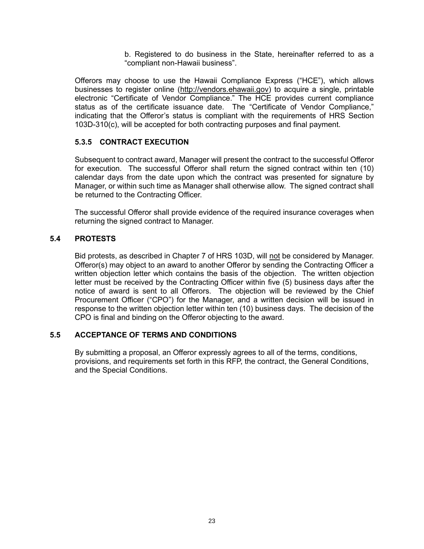b. Registered to do business in the State, hereinafter referred to as a "compliant non-Hawaii business".

Offerors may choose to use the Hawaii Compliance Express ("HCE"), which allows businesses to register online [\(http://vendors.ehawaii.gov\)](http://vendors.ehawaii.gov/) to acquire a single, printable electronic "Certificate of Vendor Compliance." The HCE provides current compliance status as of the certificate issuance date. The "Certificate of Vendor Compliance," indicating that the Offeror's status is compliant with the requirements of HRS Section 103D-310(c), will be accepted for both contracting purposes and final payment.

# **5.3.5 CONTRACT EXECUTION**

Subsequent to contract award, Manager will present the contract to the successful Offeror for execution. The successful Offeror shall return the signed contract within ten (10) calendar days from the date upon which the contract was presented for signature by Manager, or within such time as Manager shall otherwise allow. The signed contract shall be returned to the Contracting Officer.

The successful Offeror shall provide evidence of the required insurance coverages when returning the signed contract to Manager.

# **5.4 PROTESTS**

Bid protests, as described in Chapter 7 of HRS 103D, will not be considered by Manager. Offeror(s) may object to an award to another Offeror by sending the Contracting Officer a written objection letter which contains the basis of the objection. The written objection letter must be received by the Contracting Officer within five (5) business days after the notice of award is sent to all Offerors. The objection will be reviewed by the Chief Procurement Officer ("CPO") for the Manager, and a written decision will be issued in response to the written objection letter within ten (10) business days. The decision of the CPO is final and binding on the Offeror objecting to the award.

# **5.5 ACCEPTANCE OF TERMS AND CONDITIONS**

By submitting a proposal, an Offeror expressly agrees to all of the terms, conditions, provisions, and requirements set forth in this RFP, the contract, the General Conditions, and the Special Conditions.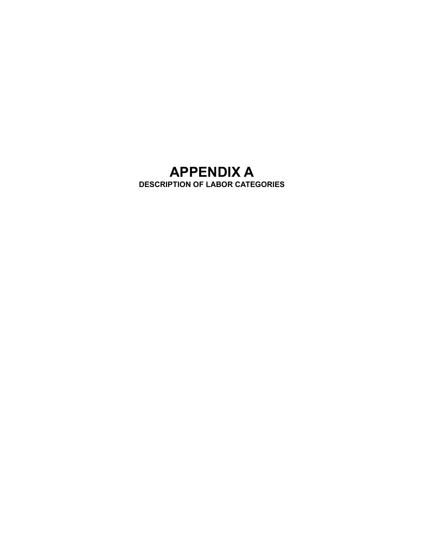# **APPENDIX A DESCRIPTION OF LABOR CATEGORIES**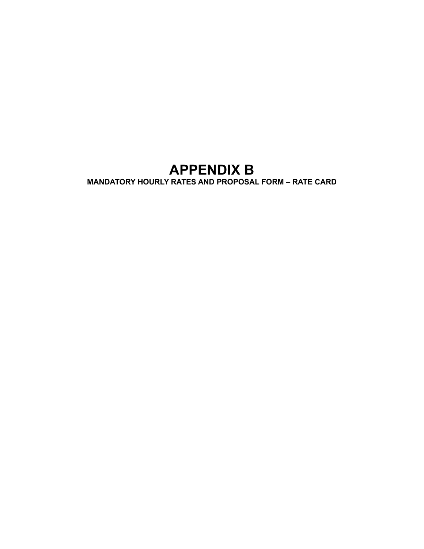# **APPENDIX B**

**MANDATORY HOURLY RATES AND PROPOSAL FORM – RATE CARD**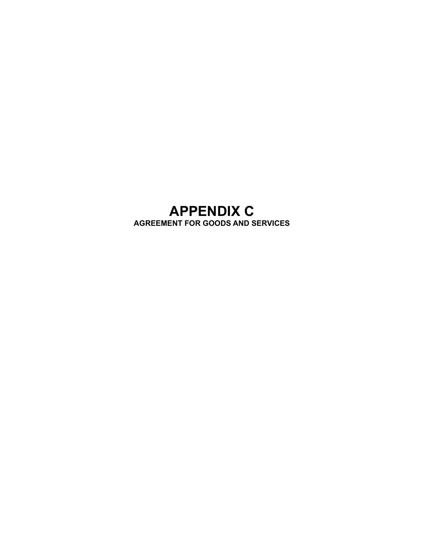# **APPENDIX C AGREEMENT FOR GOODS AND SERVICES**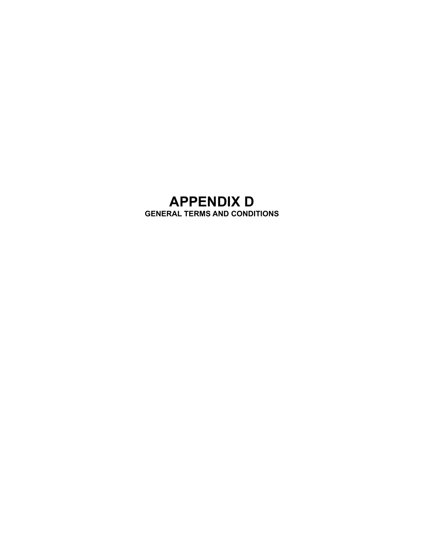# **APPENDIX D GENERAL TERMS AND CONDITIONS**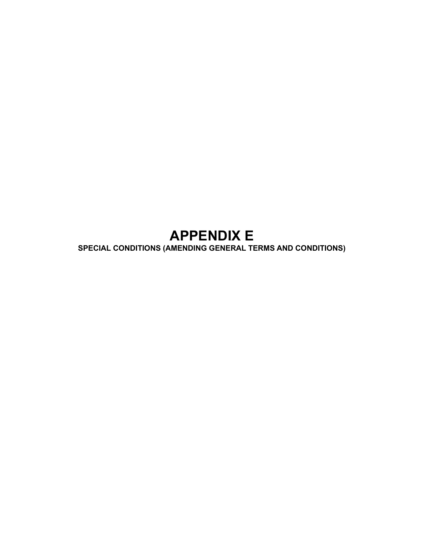# **APPENDIX E**

**SPECIAL CONDITIONS (AMENDING GENERAL TERMS AND CONDITIONS)**